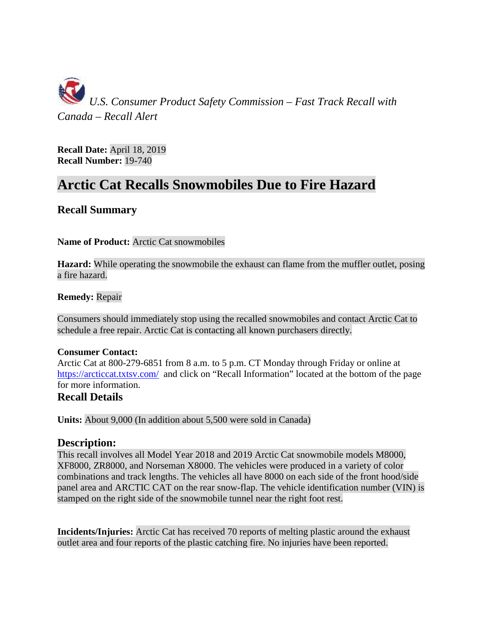

**Recall Date:** April 18, 2019 **Recall Number:** 19-740

# **Arctic Cat Recalls Snowmobiles Due to Fire Hazard**

# **Recall Summary**

**Name of Product:** Arctic Cat snowmobiles

**Hazard:** While operating the snowmobile the exhaust can flame from the muffler outlet, posing a fire hazard.

## **Remedy:** Repair

Consumers should immediately stop using the recalled snowmobiles and contact Arctic Cat to schedule a free repair. Arctic Cat is contacting all known purchasers directly.

#### **Consumer Contact:**

Arctic Cat at 800-279-6851 from 8 a.m. to 5 p.m. CT Monday through Friday or online at <https://arcticcat.txtsv.com/> and click on "Recall Information" located at the bottom of the page for more information.

# **Recall Details**

**Units:** About 9,000 (In addition about 5,500 were sold in Canada)

# **Description:**

This recall involves all Model Year 2018 and 2019 Arctic Cat snowmobile models M8000, XF8000, ZR8000, and Norseman X8000. The vehicles were produced in a variety of color combinations and track lengths. The vehicles all have 8000 on each side of the front hood/side panel area and ARCTIC CAT on the rear snow-flap. The vehicle identification number (VIN) is stamped on the right side of the snowmobile tunnel near the right foot rest.

**Incidents/Injuries:** Arctic Cat has received 70 reports of melting plastic around the exhaust outlet area and four reports of the plastic catching fire. No injuries have been reported.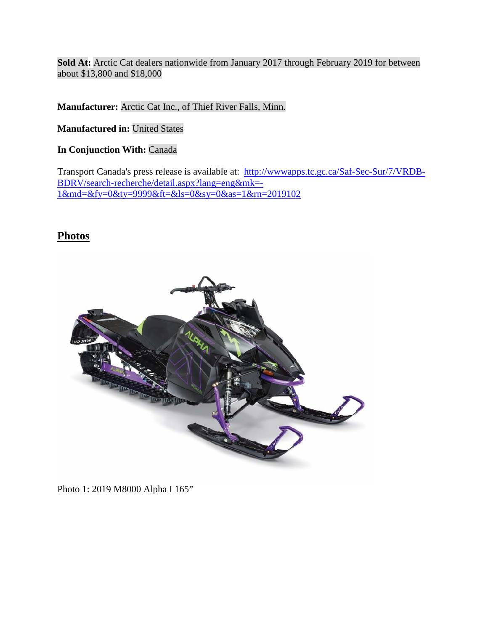**Sold At:** Arctic Cat dealers nationwide from January 2017 through February 2019 for between about \$13,800 and \$18,000

**Manufacturer:** Arctic Cat Inc., of Thief River Falls, Minn.

**Manufactured in:** United States

**In Conjunction With:** Canada

Transport Canada's press release is available at: [http://wwwapps.tc.gc.ca/Saf-Sec-Sur/7/VRDB-](http://wwwapps.tc.gc.ca/Saf-Sec-Sur/7/VRDB-BDRV/search-recherche/detail.aspx?lang=eng&mk=-1&md=&fy=0&ty=9999&ft=&ls=0&sy=0&as=1&rn=2019102)[BDRV/search-recherche/detail.aspx?lang=eng&mk=-](http://wwwapps.tc.gc.ca/Saf-Sec-Sur/7/VRDB-BDRV/search-recherche/detail.aspx?lang=eng&mk=-1&md=&fy=0&ty=9999&ft=&ls=0&sy=0&as=1&rn=2019102) [1&md=&fy=0&ty=9999&ft=&ls=0&sy=0&as=1&rn=2019102](http://wwwapps.tc.gc.ca/Saf-Sec-Sur/7/VRDB-BDRV/search-recherche/detail.aspx?lang=eng&mk=-1&md=&fy=0&ty=9999&ft=&ls=0&sy=0&as=1&rn=2019102)

# **Photos**



Photo 1: 2019 M8000 Alpha I 165"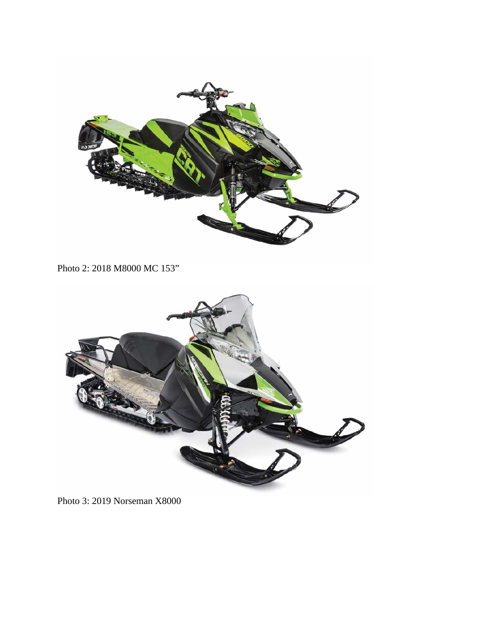

Photo 2: 2018 M8000 MC 153"



Photo 3: 2019 Norseman X8000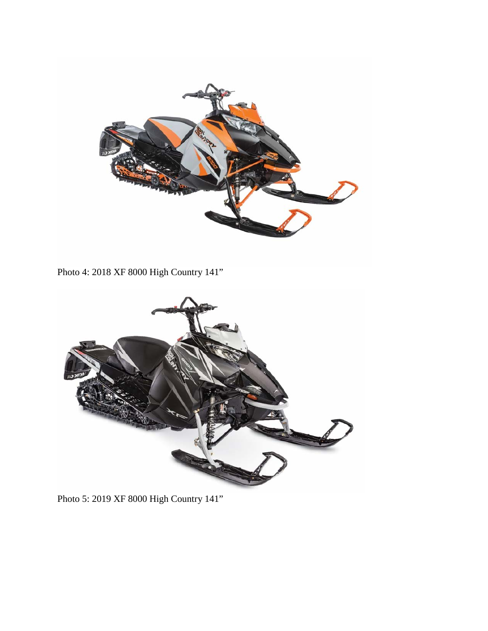

Photo 4: 2018 XF 8000 High Country 141"



Photo 5: 2019 XF 8000 High Country 141"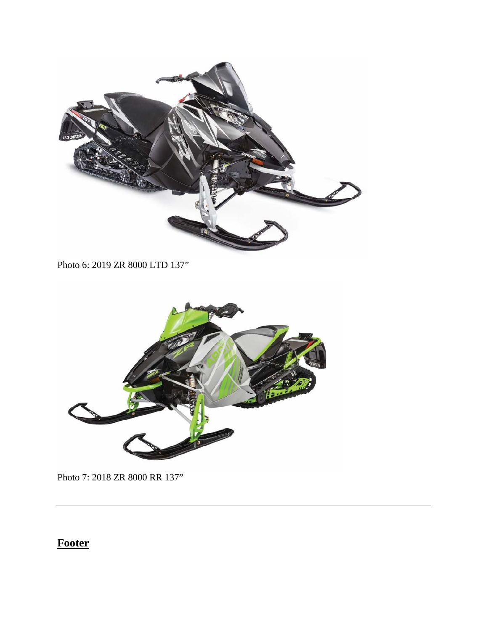

Photo 6: 2019 ZR 8000 LTD 137"



Photo 7: 2018 ZR 8000 RR 137"

**Footer**